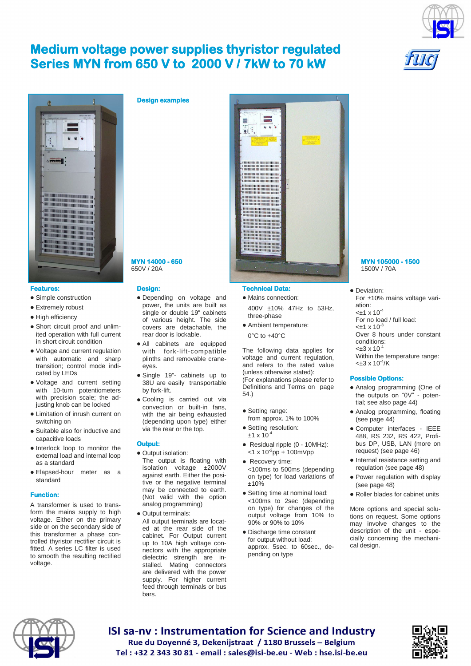# **Medium voltage power supplies thyristor regulated Series MYN from 650 V to 2000 V / 7kW to 70 kW**



## **Features:**

- Simple construction
- **•** Extremely robust
- High efficiency
- Short circuit proof and unlimited operation with full current in short circuit condition
- Voltage and current regulation with automatic and sharp transition; control mode indicated by LEDs
- Voltage and current setting with 10-turn potentiometers with precision scale; the adjusting knob can be locked
- Limitation of inrush current on switching on
- Suitable also for inductive and capacitive loads
- $\bullet$  Interlock loop to monitor the external load and internal loop as a standard
- Elapsed-hour meter as a standard

#### **Function:**

A transformer is used to transform the mains supply to high voltage. Either on the primary side or on the secondary side of this transformer a phase controlled thyristor rectifier circuit is fitted. A series LC filter is used to smooth the resulting rectified voltage.





#### **Design:**

- Depending on voltage and power, the units are built as single or double 19" cabinets of various height. The side covers are detachable, the rear door is lockable.
- All cabinets are equipped with fork-lift-compatible plinths and removable craneeyes.
- Single 19"- cabinets up to 38U are easily transportable by fork-lift.
- Cooling is carried out via convection or built-in fans, with the air being exhausted (depending upon type) either via the rear or the top.

### **Output:**

- Output isolation: The output is floating with isolation voltage ±2000V against earth. Either the positive or the negative terminal may be connected to earth. (Not valid with the option analog programming)
- Output terminals: All output terminals are located at the rear side of the cabinet. For Output current up to 10A high voltage connectors with the appropriate dielectric strength are installed. Mating connectors are delivered with the power supply. For higher current feed through terminals or bus bars.



### **Technical Data:**

- Mains connection: 400V ±10% 47Hz to 53Hz, three-phase
- Ambient temperature: 0°C to +40°C

The following data applies for voltage and current regulation, and refers to the rated value (unless otherwise stated): (For explanations please refer to Definitions and Terms on page 54.)

- Setting range: from approx. 1% to 100% • Setting resolution:
- $±1 \times 10^{-4}$
- Residual ripple (0 10MHz):  $<$ 1 x 10<sup>-2</sup>pp + 100mVpp
- Recovery time: <100ms to 500ms (depending on type) for load variations of ±10%
- Setting time at nominal load: <100ms to 2sec (depending on type) for changes of the output voltage from 10% to 90% or 90% to 10%
- Discharge time constant for output without load: approx. 5sec. to 60sec., depending on type

# **MYN 105000 - 1500**  1500V / 70A

• Deviation: For ±10% mains voltage variation:  $<$ ±1 x 10<sup>-4</sup> For no load / full load:  $<\pm$ 1 x 10<sup>-3</sup> Over 8 hours under constant conditions:  $< \pm 3 \times 10^{-4}$ Within the temperature range:  $<\pm 3 \times 10^{-4}/K$ 

#### **Possible Options:**

- Analog programming (One of the outputs on "0V" - potential; see also page 44)
- Analog programming, floating (see page 44)
- Computer interfaces IEEE 488, RS 232, RS 422, Profibus DP, USB, LAN (more on request) (see page 46)
- Internal resistance setting and regulation (see page 48)
- Power regulation with display (see page 48)
- Roller blades for cabinet units

More options and special solutions on request. Some options may involve changes to the description of the unit - especially concerning the mechanical design.



**ISI sa-ny: Instrumentation for Science and Industry** Rue du Doyenné 3, Dekenijstraat / 1180 Brussels - Belgium Tel: +32 2 343 30 81 - email: sales@isi-be.eu - Web: hse.isi-be.eu